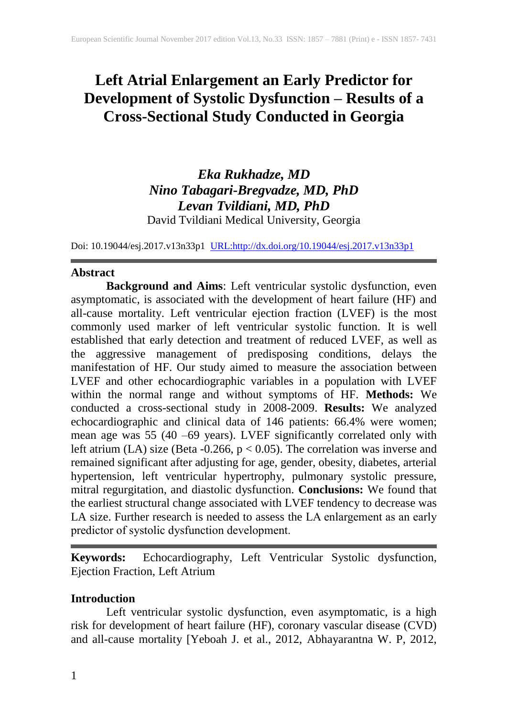# **Left Atrial Enlargement an Early Predictor for Development of Systolic Dysfunction – Results of a Cross-Sectional Study Conducted in Georgia**

# *Eka Rukhadze, MD Nino Tabagari-Bregvadze, MD, PhD Levan Tvildiani, MD, PhD* David Tvildiani Medical University, Georgia

Doi: 10.19044/esj.2017.v13n33p1 [URL:http://dx.doi.org/10.19044/esj.2017.v13n33p1](http://dx.doi.org/10.19044/esj.2017.v13n33p1)

## **Abstract**

**Background and Aims**: Left ventricular systolic dysfunction, even asymptomatic, is associated with the development of heart failure (HF) and all-cause mortality. Left ventricular ejection fraction (LVEF) is the most commonly used marker of left ventricular systolic function. It is well established that early detection and treatment of reduced LVEF, as well as the aggressive management of predisposing conditions, delays the manifestation of HF. Our study aimed to measure the association between LVEF and other echocardiographic variables in a population with LVEF within the normal range and without symptoms of HF. **Methods:** We conducted a cross-sectional study in 2008-2009. **Results:** We analyzed echocardiographic and clinical data of 146 patients: 66.4% were women; mean age was 55 (40 –69 years). LVEF significantly correlated only with left atrium (LA) size (Beta -0.266,  $p < 0.05$ ). The correlation was inverse and remained significant after adjusting for age, gender, obesity, diabetes, arterial hypertension, left ventricular hypertrophy, pulmonary systolic pressure, mitral regurgitation, and diastolic dysfunction. **Conclusions:** We found that the earliest structural change associated with LVEF tendency to decrease was LA size. Further research is needed to assess the LA enlargement as an early predictor of systolic dysfunction development.

**Keywords:** Echocardiography, Left Ventricular Systolic dysfunction, Ejection Fraction, Left Atrium

## **Introduction**

Left ventricular systolic dysfunction, even asymptomatic, is a high risk for development of heart failure (HF), coronary vascular disease (CVD) and all-cause mortality [Yeboah J. et al., 2012, Abhayarantna W. P, 2012,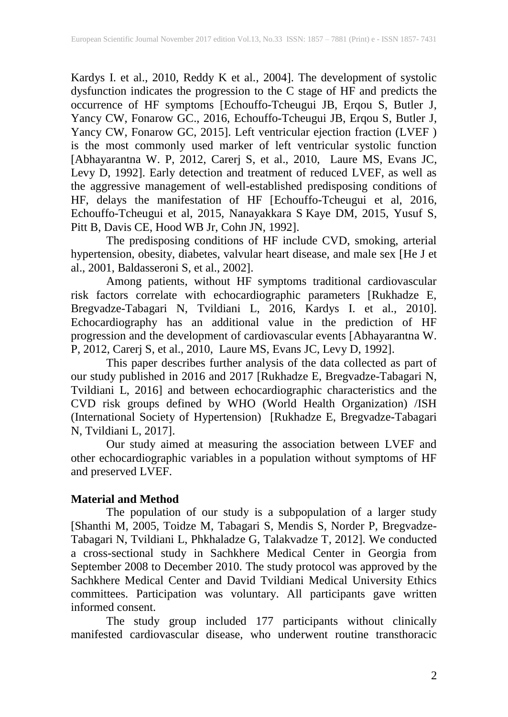Kardys I. et al., 2010, Reddy K et al., 2004]. The development of systolic dysfunction indicates the progression to the C stage of HF and predicts the occurrence of HF symptoms [Echouffo-Tcheugui JB, Erqou S, Butler J, Yancy CW, Fonarow GC., 2016, Echouffo-Tcheugui JB, Erqou S, Butler J, Yancy CW, Fonarow GC, 2015]. Left ventricular ejection fraction (LVEF ) is the most commonly used marker of left ventricular systolic function [Abhayarantna W. P, 2012, [Carerj S,](https://www.ncbi.nlm.nih.gov/pubmed/?term=Carerj%20S%5BAuthor%5D&cauthor=true&cauthor_uid=20659788) et al., 2010,Laure MS, Evans JC, Levy D, 1992]. Early detection and treatment of reduced LVEF, as well as the aggressive management of well-established predisposing conditions of HF, delays the manifestation of HF [Echouffo-Tcheugui et al, 2016, Echouffo-Tcheugui et al, 2015, [Nanayakkara](https://www.ncbi.nlm.nih.gov/pubmed/?term=Nanayakkara%20S%5BAuthor%5D&cauthor=true&cauthor_uid=26385583) S [Kaye](https://www.ncbi.nlm.nih.gov/pubmed/?term=Kaye%20DM%5BAuthor%5D&cauthor=true&cauthor_uid=26385583) DM, 2015, Yusuf S, Pitt B, Davis CE, Hood WB Jr, Cohn JN, 1992].

The predisposing conditions of HF include CVD, smoking, arterial hypertension, obesity, diabetes, valvular heart disease, and male sex [He J et al., 2001, Baldasseroni S, et al., 2002].

Among patients, without HF symptoms traditional cardiovascular risk factors correlate with echocardiographic parameters [Rukhadze E, Bregvadze-Tabagari N, Tvildiani L, 2016, Kardys I. et al., 2010]. Echocardiography has an additional value in the prediction of HF progression and the development of cardiovascular events [Abhayarantna W. P, 2012, [Carerj S,](https://www.ncbi.nlm.nih.gov/pubmed/?term=Carerj%20S%5BAuthor%5D&cauthor=true&cauthor_uid=20659788) et al., 2010,Laure MS, Evans JC, Levy D, 1992].

This paper describes further analysis of the data collected as part of our study published in 2016 and 2017 [Rukhadze E, Bregvadze-Tabagari N, Tvildiani L, 2016] and between echocardiographic characteristics and the CVD risk groups defined by WHO (World Health Organization) /ISH (International Society of Hypertension) [Rukhadze E, Bregvadze-Tabagari N, Tvildiani L, 2017].

Our study aimed at measuring the association between LVEF and other echocardiographic variables in a population without symptoms of HF and preserved LVEF.

# **Material and Method**

The population of our study is a subpopulation of a larger study [Shanthi M, 2005, Toidze M, Tabagari S, Mendis S, Norder P, Bregvadze-Tabagari N, Tvildiani L, Phkhaladze G, Talakvadze T, 2012]. We conducted a cross-sectional study in Sachkhere Medical Center in Georgia from September 2008 to December 2010. The study protocol was approved by the Sachkhere Medical Center and David Tvildiani Medical University Ethics committees. Participation was voluntary. All participants gave written informed consent.

The study group included 177 participants without clinically manifested cardiovascular disease, who underwent routine transthoracic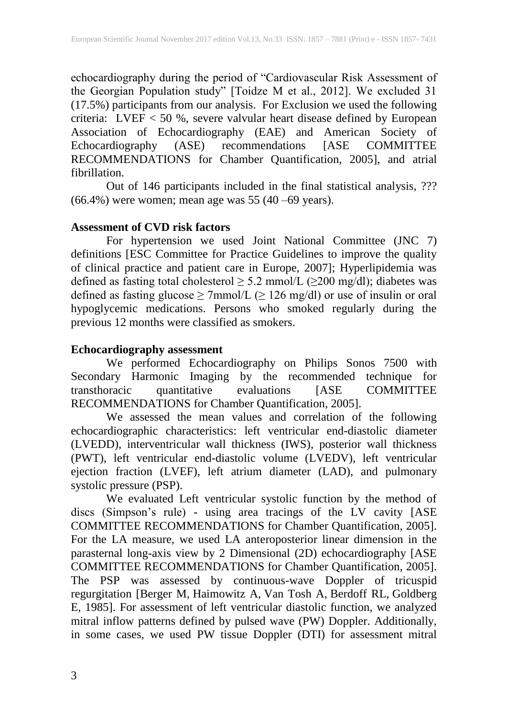echocardiography during the period of "Cardiovascular Risk Assessment of the Georgian Population study" [Toidze M et al., 2012]. We excluded 31 (17.5%) participants from our analysis. For Exclusion we used the following criteria: LVEF < 50 %, severe valvular heart disease defined by European Association of Echocardiography (EAE) and American Society of Echocardiography (ASE) recommendations [ASE COMMITTEE RECOMMENDATIONS for Chamber Quantification, 2005], and atrial fibrillation.

Out of 146 participants included in the final statistical analysis, ??? (66.4%) were women; mean age was 55 (40 –69 years).

# **Assessment of CVD risk factors**

For hypertension we used Joint National Committee (JNC 7) definitions [ESC Committee for Practice Guidelines to improve the quality of clinical practice and patient care in Europe, 2007]; Hyperlipidemia was defined as fasting total cholesterol  $\geq$  5.2 mmol/L ( $\geq$ 200 mg/dl); diabetes was defined as fasting glucose  $\geq$  7mmol/L ( $\geq$  126 mg/dl) or use of insulin or oral hypoglycemic medications. Persons who smoked regularly during the previous 12 months were classified as smokers.

## **Echocardiography assessment**

We performed Echocardiography on Philips Sonos 7500 with Secondary Harmonic Imaging by the recommended technique for transthoracic quantitative evaluations [ASE COMMITTEE RECOMMENDATIONS for Chamber Quantification, 2005].

We assessed the mean values and correlation of the following echocardiographic characteristics: left ventricular end-diastolic diameter (LVEDD), interventricular wall thickness (IWS), posterior wall thickness (PWT), left ventricular end-diastolic volume (LVEDV), left ventricular ejection fraction (LVEF), left atrium diameter (LAD), and pulmonary systolic pressure (PSP).

We evaluated Left ventricular systolic function by the method of discs (Simpson's rule) - using area tracings of the LV cavity [ASE COMMITTEE RECOMMENDATIONS for Chamber Quantification, 2005]. For the LA measure, we used LA anteroposterior linear dimension in the parasternal long-axis view by 2 Dimensional (2D) echocardiography [ASE COMMITTEE RECOMMENDATIONS for Chamber Quantification, 2005]. The PSP was assessed by continuous-wave Doppler of tricuspid regurgitation [\[Berger M,](https://www.ncbi.nlm.nih.gov/pubmed/?term=Berger%20M%5BAuthor%5D&cauthor=true&cauthor_uid=4019921) [Haimowitz](https://www.ncbi.nlm.nih.gov/pubmed/?term=Haimowitz%20A%5BAuthor%5D&cauthor=true&cauthor_uid=4019921) A, [Van Tosh A,](https://www.ncbi.nlm.nih.gov/pubmed/?term=Van%20Tosh%20A%5BAuthor%5D&cauthor=true&cauthor_uid=4019921) [Berdoff](https://www.ncbi.nlm.nih.gov/pubmed/?term=Berdoff%20RL%5BAuthor%5D&cauthor=true&cauthor_uid=4019921) RL, [Goldberg](https://www.ncbi.nlm.nih.gov/pubmed/?term=Goldberg%20E%5BAuthor%5D&cauthor=true&cauthor_uid=4019921)  [E,](https://www.ncbi.nlm.nih.gov/pubmed/?term=Goldberg%20E%5BAuthor%5D&cauthor=true&cauthor_uid=4019921) 1985]. For assessment of left ventricular diastolic function, we analyzed mitral inflow patterns defined by pulsed wave (PW) Doppler. Additionally, in some cases, we used PW tissue Doppler (DTI) for assessment mitral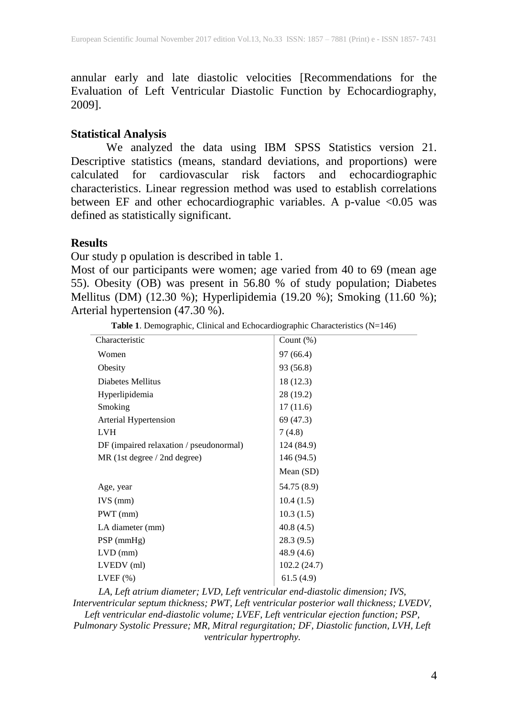annular early and late diastolic velocities [Recommendations for the Evaluation of Left Ventricular Diastolic Function by Echocardiography, 2009].

### **Statistical Analysis**

We analyzed the data using IBM SPSS Statistics version 21. Descriptive statistics (means, standard deviations, and proportions) were calculated for cardiovascular risk factors and echocardiographic characteristics. Linear regression method was used to establish correlations between EF and other echocardiographic variables. A p-value  $\leq 0.05$  was defined as statistically significant.

### **Results**

Our study p opulation is described in table 1.

Most of our participants were women; age varied from 40 to 69 (mean age 55). Obesity (OB) was present in 56.80 % of study population; Diabetes Mellitus (DM) (12.30 %); Hyperlipidemia (19.20 %); Smoking (11.60 %); Arterial hypertension (47.30 %).

|                                                                                       | $C_{\text{const}}$ (0/) |
|---------------------------------------------------------------------------------------|-------------------------|
| <b>Table 1.</b> Demographic, Clinical and Echocardiographic Characteristics $(N=146)$ |                         |
|                                                                                       |                         |

| Characteristic                          | Count $(\%)$ |
|-----------------------------------------|--------------|
| Women                                   | 97 (66.4)    |
| Obesity                                 | 93 (56.8)    |
| Diabetes Mellitus                       | 18 (12.3)    |
| Hyperlipidemia                          | 28 (19.2)    |
| Smoking                                 | 17(11.6)     |
| Arterial Hypertension                   | 69 (47.3)    |
| <b>LVH</b>                              | 7(4.8)       |
| DF (impaired relaxation / pseudonormal) | 124 (84.9)   |
| MR (1st degree / 2nd degree)            | 146 (94.5)   |
|                                         | Mean $(SD)$  |
| Age, year                               | 54.75 (8.9)  |
| $IVS$ (mm)                              | 10.4(1.5)    |
| $PWT$ (mm)                              | 10.3(1.5)    |
| LA diameter (mm)                        | 40.8(4.5)    |
| $PSP$ (mmHg)                            | 28.3 (9.5)   |
| $LVD$ (mm)                              | 48.9 (4.6)   |
| LVEDV (ml)                              | 102.2(24.7)  |
| $LVEF$ $(\%)$                           | 61.5(4.9)    |
|                                         |              |

*LA, Left atrium diameter; LVD, Left ventricular end-diastolic dimension; IVS, Interventricular septum thickness; PWT, Left ventricular posterior wall thickness; LVEDV, Left ventricular end-diastolic volume; LVEF, Left ventricular ejection function; PSP, Pulmonary Systolic Pressure; MR, Mitral regurgitation; DF, Diastolic function, LVH, Left ventricular hypertrophy.*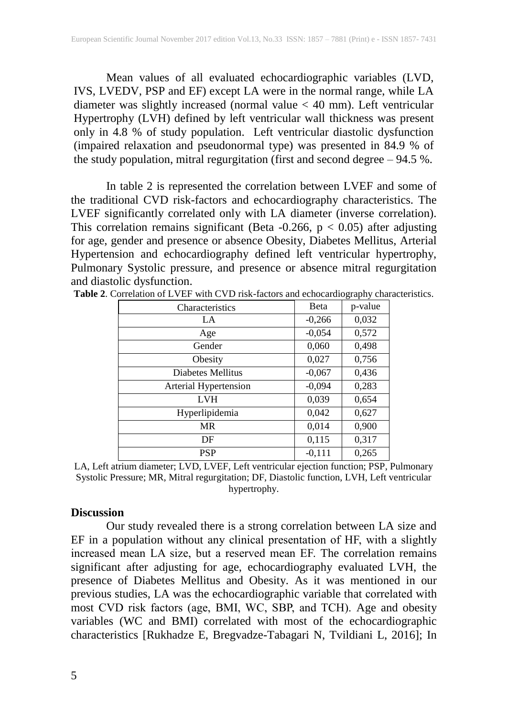Mean values of all evaluated echocardiographic variables (LVD, IVS, LVEDV, PSP and EF) except LA were in the normal range, while LA diameter was slightly increased (normal value < 40 mm). Left ventricular Hypertrophy (LVH) defined by left ventricular wall thickness was present only in 4.8 % of study population. Left ventricular diastolic dysfunction (impaired relaxation and pseudonormal type) was presented in 84.9 % of the study population, mitral regurgitation (first and second degree – 94.5 %.

In table 2 is represented the correlation between LVEF and some of the traditional CVD risk-factors and echocardiography characteristics. The LVEF significantly correlated only with LA diameter (inverse correlation). This correlation remains significant (Beta -0.266,  $p < 0.05$ ) after adjusting for age, gender and presence or absence Obesity, Diabetes Mellitus, Arterial Hypertension and echocardiography defined left ventricular hypertrophy, Pulmonary Systolic pressure, and presence or absence mitral regurgitation and diastolic dysfunction.

| Characteristics       | Beta     | p-value |
|-----------------------|----------|---------|
| LA                    | $-0,266$ | 0,032   |
| Age                   | $-0,054$ | 0,572   |
| Gender                | 0,060    | 0,498   |
| Obesity               | 0,027    | 0,756   |
| Diabetes Mellitus     | $-0,067$ | 0,436   |
| Arterial Hypertension | $-0,094$ | 0,283   |
| <b>LVH</b>            | 0,039    | 0,654   |
| Hyperlipidemia        | 0,042    | 0,627   |
| <b>MR</b>             | 0,014    | 0,900   |
| DF                    | 0,115    | 0,317   |
| <b>PSP</b>            | $-0,111$ | 0,265   |

**Table 2**. Correlation of LVEF with CVD risk-factors and echocardiography characteristics.

LA, Left atrium diameter; LVD, LVEF, Left ventricular ejection function; PSP, Pulmonary Systolic Pressure; MR, Mitral regurgitation; DF, Diastolic function, LVH, Left ventricular hypertrophy.

## **Discussion**

Our study revealed there is a strong correlation between LA size and EF in a population without any clinical presentation of HF, with a slightly increased mean LA size, but a reserved mean EF. The correlation remains significant after adjusting for age, echocardiography evaluated LVH, the presence of Diabetes Mellitus and Obesity. As it was mentioned in our previous studies, LA was the echocardiographic variable that correlated with most CVD risk factors (age, BMI, WC, SBP, and TCH). Age and obesity variables (WC and BMI) correlated with most of the echocardiographic characteristics [Rukhadze E, Bregvadze-Tabagari N, Tvildiani L, 2016]; In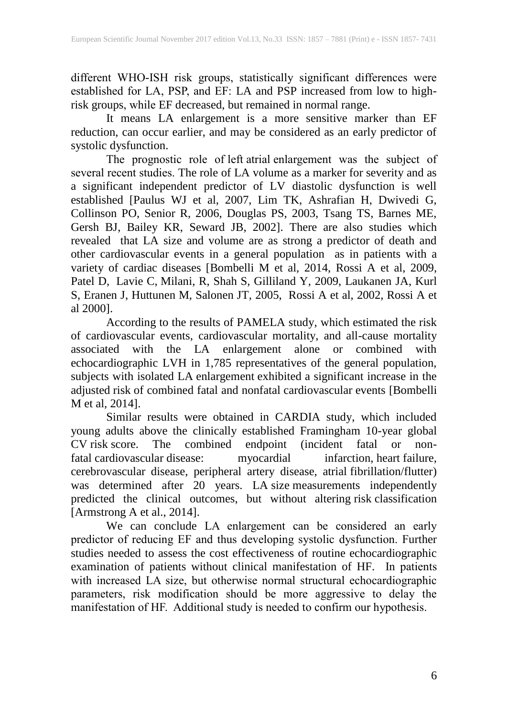different WHO-ISH risk groups, statistically significant differences were established for LA, PSP, and EF: LA and PSP increased from low to highrisk groups, while EF decreased, but remained in normal range.

It means LA enlargement is a more sensitive marker than EF reduction, can occur earlier, and may be considered as an early predictor of systolic dysfunction.

The prognostic role of left atrial enlargement was the subject of several recent studies. The role of LA volume as a marker for severity and as a significant independent predictor of LV diastolic dysfunction is well established [\[Paulus WJ](https://www.ncbi.nlm.nih.gov/pubmed/?term=Paulus%20WJ%5BAuthor%5D&cauthor=true&cauthor_uid=17428822) et al, 2007, Lim TK, Ashrafian H, Dwivedi G, Collinson PO, Senior R, 2006, Douglas PS, 2003, Tsang TS, Barnes ME, Gersh BJ, Bailey KR, Seward JB, 2002]. There are also studies which revealed that LA size and volume are as strong a predictor of death and other cardiovascular events in a general population as in patients with a variety of cardiac diseases [\[Bombelli](https://www.ncbi.nlm.nih.gov/pubmed/?term=Bombelli%20M%5BAuthor%5D&cauthor=true&cauthor_uid=25201892) M et al, 2014, [Rossi](https://www.ncbi.nlm.nih.gov/pubmed/?term=Rossi%20A%5BAuthor%5D&cauthor=true&cauthor_uid=19789395) A et al, 2009, [Patel](https://www.ncbi.nlm.nih.gov/pubmed/?term=Patel%20DA%5BAuthor%5D&cauthor=true&cauthor_uid=21603443) D, [Lavie](https://www.ncbi.nlm.nih.gov/pubmed/?term=Lavie%20CJ%5BAuthor%5D&cauthor=true&cauthor_uid=21603443) C, [Milani,](https://www.ncbi.nlm.nih.gov/pubmed/?term=Milani%20RV%5BAuthor%5D&cauthor=true&cauthor_uid=21603443) R, [Shah](https://www.ncbi.nlm.nih.gov/pubmed/?term=Shah%20S%5BAuthor%5D&cauthor=true&cauthor_uid=21603443) S, [Gilliland](https://www.ncbi.nlm.nih.gov/pubmed/?term=Gilliland%20Y%5BAuthor%5D&cauthor=true&cauthor_uid=21603443) Y, 2009, Laukanen JA, Kurl S, Eranen J, Huttunen M, Salonen JT, 2005, [Rossi A](https://www.ncbi.nlm.nih.gov/pubmed/?term=Rossi%20A%5BAuthor%5D&cauthor=true&cauthor_uid=19789395) et al, 2002, Rossi A et al 2000].

According to the results of PAMELA study, which estimated the risk of cardiovascular events, cardiovascular mortality, and all-cause mortality associated with the LA enlargement alone or combined with echocardiographic LVH in 1,785 representatives of the general population, subjects with isolated LA enlargement exhibited a significant increase in the adjusted risk of combined fatal and nonfatal cardiovascular events [\[Bombelli](https://www.ncbi.nlm.nih.gov/pubmed/?term=Bombelli%20M%5BAuthor%5D&cauthor=true&cauthor_uid=25201892) [M](https://www.ncbi.nlm.nih.gov/pubmed/?term=Bombelli%20M%5BAuthor%5D&cauthor=true&cauthor_uid=25201892) et al, 2014].

Similar results were obtained in CARDIA study, which included young adults above the clinically established Framingham 10-year global CV risk score. The combined endpoint (incident fatal or non-<br>fatal cardiovascular disease: myocardial infarction, heart failure, fatal cardiovascular disease: myocardial infarction, heart failure, cerebrovascular disease, peripheral artery disease, atrial fibrillation/flutter) was determined after 20 years. LA size measurements independently predicted the clinical outcomes, but without altering risk classification [\[Armstrong A](https://www.ncbi.nlm.nih.gov/pubmed/?term=Armstrong%20AC%5BAuthor%5D&cauthor=true&cauthor_uid=24534011) et al., 2014].

We can conclude LA enlargement can be considered an early predictor of reducing EF and thus developing systolic dysfunction. Further studies needed to assess the cost effectiveness of routine echocardiographic examination of patients without clinical manifestation of HF. In patients with increased LA size, but otherwise normal structural echocardiographic parameters, risk modification should be more aggressive to delay the manifestation of HF. Additional study is needed to confirm our hypothesis.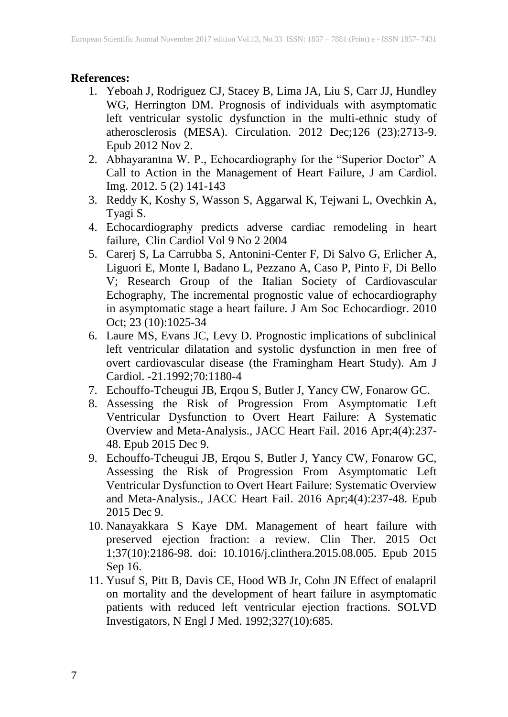# **References:**

- 1. Yeboah J, Rodriguez CJ, Stacey B, Lima JA, Liu S, Carr JJ, Hundley WG, Herrington DM. Prognosis of individuals with asymptomatic left ventricular systolic dysfunction in the multi-ethnic study of atherosclerosis (MESA). Circulation. 2012 Dec;126 (23):2713-9. Epub 2012 Nov 2.
- 2. Abhayarantna W. P., Echocardiography for the "Superior Doctor" A Call to Action in the Management of Heart Failure, J am Cardiol. Img. 2012. 5 (2) 141-143
- 3. Reddy K, Koshy S, Wasson S, Aggarwal K, Tejwani L, Ovechkin A, Tyagi S.
- 4. Echocardiography predicts adverse cardiac remodeling in heart failure, Clin Cardiol Vol 9 No 2 2004
- 5. Carerj S, La Carrubba S, Antonini-Center F, Di Salvo G, Erlicher A, Liguori E, Monte I, Badano L, Pezzano A, Caso P, Pinto F, Di Bello V; Research Group of the Italian Society of Cardiovascular Echography, The incremental prognostic value of echocardiography in asymptomatic stage a heart failure. J Am Soc Echocardiogr. 2010 Oct; 23 (10):1025-34
- 6. Laure MS, Evans JC, Levy D. Prognostic implications of subclinical left ventricular dilatation and systolic dysfunction in men free of overt cardiovascular disease (the Framingham Heart Study). Am J Cardiol. -21.1992;70:1180-4
- 7. Echouffo-Tcheugui JB, Erqou S, Butler J, Yancy CW, Fonarow GC.
- 8. Assessing the Risk of Progression From Asymptomatic Left Ventricular Dysfunction to Overt Heart Failure: A Systematic Overview and Meta-Analysis., JACC Heart Fail. 2016 Apr;4(4):237- 48. Epub 2015 Dec 9.
- 9. Echouffo-Tcheugui JB, Erqou S, Butler J, Yancy CW, Fonarow GC, Assessing the Risk of Progression From Asymptomatic Left Ventricular Dysfunction to Overt Heart Failure: Systematic Overview and Meta-Analysis., JACC Heart Fail. 2016 Apr;4(4):237-48. Epub 2015 Dec 9.
- 10. Nanayakkara S Kaye DM. Management of heart failure with preserved ejection fraction: a review. Clin Ther. 2015 Oct 1;37(10):2186-98. doi: 10.1016/j.clinthera.2015.08.005. Epub 2015 Sep 16.
- 11. Yusuf S, Pitt B, Davis CE, Hood WB Jr, Cohn JN Effect of enalapril on mortality and the development of heart failure in asymptomatic patients with reduced left ventricular ejection fractions. SOLVD Investigators, N Engl J Med. 1992;327(10):685.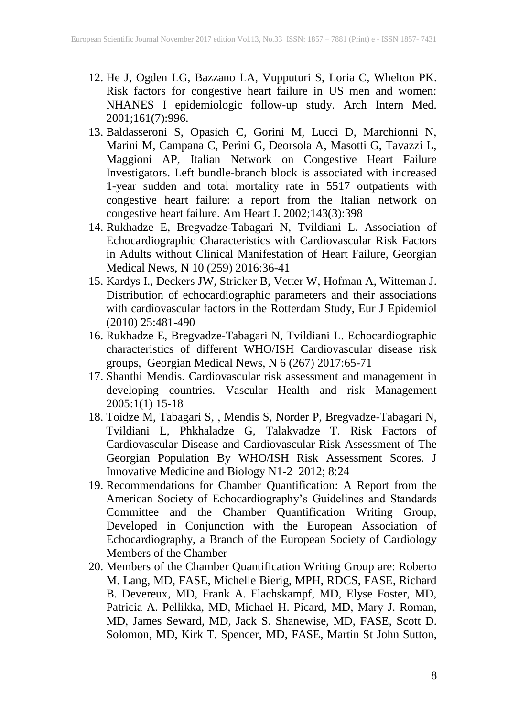- 12. He J, Ogden LG, Bazzano LA, Vupputuri S, Loria C, Whelton PK. Risk factors for congestive heart failure in US men and women: NHANES I epidemiologic follow-up study. Arch Intern Med. 2001;161(7):996.
- 13. Baldasseroni S, Opasich C, Gorini M, Lucci D, Marchionni N, Marini M, Campana C, Perini G, Deorsola A, Masotti G, Tavazzi L, Maggioni AP, Italian Network on Congestive Heart Failure Investigators. Left bundle-branch block is associated with increased 1-year sudden and total mortality rate in 5517 outpatients with congestive heart failure: a report from the Italian network on congestive heart failure. Am Heart J. 2002;143(3):398
- 14. Rukhadze E, Bregvadze-Tabagari N, Tvildiani L. Association of Echocardiographic Characteristics with Cardiovascular Risk Factors in Adults without Clinical Manifestation of Heart Failure, Georgian Medical News, N 10 (259) 2016:36-41
- 15. Kardys I., Deckers JW, Stricker B, Vetter W, Hofman A, Witteman J. Distribution of echocardiographic parameters and their associations with cardiovascular factors in the Rotterdam Study, Eur J Epidemiol (2010) 25:481-490
- 16. Rukhadze E, Bregvadze-Tabagari N, Tvildiani L. Echocardiographic characteristics of different WHO/ISH Cardiovascular disease risk groups, Georgian Medical News, N 6 (267) 2017:65-71
- 17. Shanthi Mendis. Cardiovascular risk assessment and management in developing countries. Vascular Health and risk Management  $2005:1(1)$  15-18
- 18. Toidze M, Tabagari S, , Mendis S, Norder P, Bregvadze-Tabagari N, Tvildiani L, Phkhaladze G, Talakvadze T. Risk Factors of Cardiovascular Disease and Cardiovascular Risk Assessment of The Georgian Population By WHO/ISH Risk Assessment Scores. J Innovative Medicine and Biology N1-2 2012; 8:24
- 19. Recommendations for Chamber Quantification: A Report from the American Society of Echocardiography's Guidelines and Standards Committee and the Chamber Quantification Writing Group, Developed in Conjunction with the European Association of Echocardiography, a Branch of the European Society of Cardiology Members of the Chamber
- 20. Members of the Chamber Quantification Writing Group are: Roberto M. Lang, MD, FASE, Michelle Bierig, MPH, RDCS, FASE, Richard B. Devereux, MD, Frank A. Flachskampf, MD, Elyse Foster, MD, Patricia A. Pellikka, MD, Michael H. Picard, MD, Mary J. Roman, MD, James Seward, MD, Jack S. Shanewise, MD, FASE, Scott D. Solomon, MD, Kirk T. Spencer, MD, FASE, Martin St John Sutton,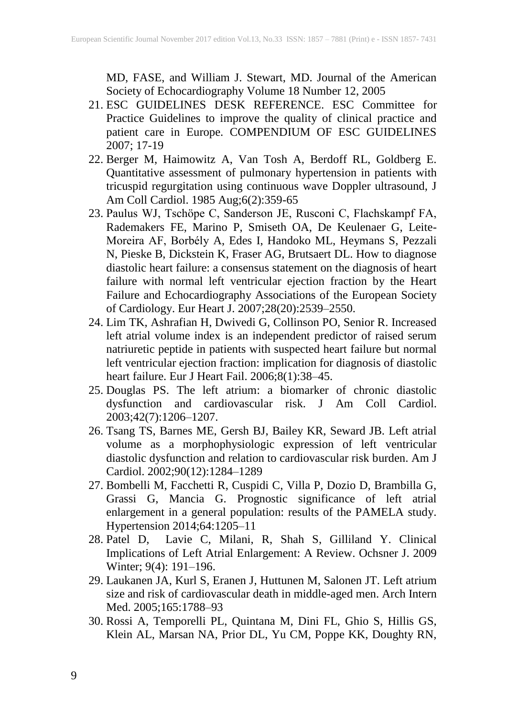MD, FASE, and William J. Stewart, MD. Journal of the American Society of Echocardiography Volume 18 Number 12, 2005

- 21. ESC GUIDELINES DESK REFERENCE. ESC Committee for Practice Guidelines to improve the quality of clinical practice and patient care in Europe. COMPENDIUM OF ESC GUIDELINES 2007; 17-19
- 22. Berger M, Haimowitz A, Van Tosh A, Berdoff RL, Goldberg E. Quantitative assessment of pulmonary hypertension in patients with tricuspid regurgitation using continuous wave Doppler ultrasound, J Am Coll Cardiol. 1985 Aug;6(2):359-65
- 23. Paulus WJ, Tschöpe C, Sanderson JE, Rusconi C, Flachskampf FA, Rademakers FE, Marino P, Smiseth OA, De Keulenaer G, Leite-Moreira AF, Borbély A, Edes I, Handoko ML, Heymans S, Pezzali N, Pieske B, Dickstein K, Fraser AG, Brutsaert DL. How to diagnose diastolic heart failure: a consensus statement on the diagnosis of heart failure with normal left ventricular ejection fraction by the Heart Failure and Echocardiography Associations of the European Society of Cardiology. Eur Heart J. 2007;28(20):2539–2550.
- 24. Lim TK, Ashrafian H, Dwivedi G, Collinson PO, Senior R. Increased left atrial volume index is an independent predictor of raised serum natriuretic peptide in patients with suspected heart failure but normal left ventricular ejection fraction: implication for diagnosis of diastolic heart failure. Eur J Heart Fail. 2006;8(1):38–45.
- 25. Douglas PS. The left atrium: a biomarker of chronic diastolic dysfunction and cardiovascular risk. J Am Coll Cardiol. 2003;42(7):1206–1207.
- 26. Tsang TS, Barnes ME, Gersh BJ, Bailey KR, Seward JB. Left atrial volume as a morphophysiologic expression of left ventricular diastolic dysfunction and relation to cardiovascular risk burden. Am J Cardiol. 2002;90(12):1284–1289
- 27. Bombelli M, Facchetti R, Cuspidi C, Villa P, Dozio D, Brambilla G, Grassi G, Mancia G. Prognostic significance of left atrial enlargement in a general population: results of the PAMELA study. Hypertension 2014;64:1205–11
- 28. Patel D, Lavie C, Milani, R, Shah S, Gilliland Y. Clinical Implications of Left Atrial Enlargement: A Review. Ochsner J. 2009 Winter; 9(4): 191–196.
- 29. Laukanen JA, Kurl S, Eranen J, Huttunen M, Salonen JT. Left atrium size and risk of cardiovascular death in middle-aged men. Arch Intern Med. 2005;165:1788–93
- 30. Rossi A, Temporelli PL, Quintana M, Dini FL, Ghio S, Hillis GS, Klein AL, Marsan NA, Prior DL, Yu CM, Poppe KK, Doughty RN,